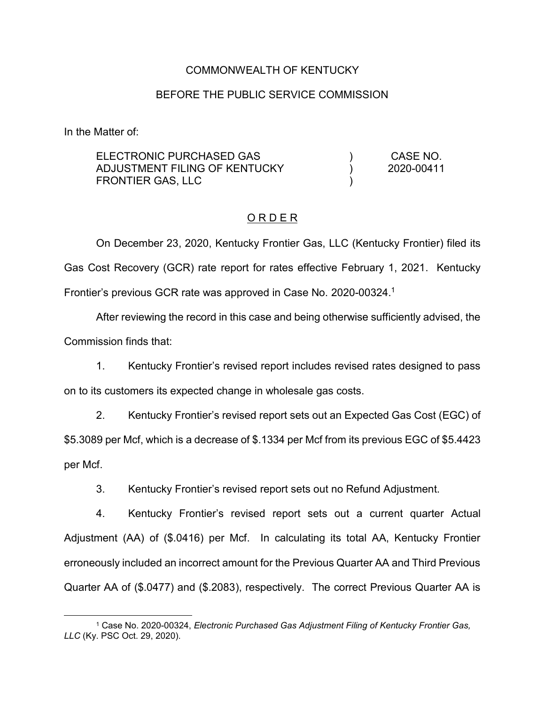### COMMONWEALTH OF KENTUCKY

### BEFORE THE PUBLIC SERVICE COMMISSION

In the Matter of:

| ELECTRONIC PURCHASED GAS<br>ADJUSTMENT FILING OF KENTUCKY<br>FRONTIER GAS, LLC |  | CASE NO.<br>2020-00411 |
|--------------------------------------------------------------------------------|--|------------------------|
|                                                                                |  |                        |
|                                                                                |  |                        |

### O R D E R

On December 23, 2020, Kentucky Frontier Gas, LLC (Kentucky Frontier) filed its Gas Cost Recovery (GCR) rate report for rates effective February 1, 2021. Kentucky Frontier's previous GCR rate was approved in Case No. 2020-00324. 1

After reviewing the record in this case and being otherwise sufficiently advised, the Commission finds that:

1. Kentucky Frontier's revised report includes revised rates designed to pass on to its customers its expected change in wholesale gas costs.

2. Kentucky Frontier's revised report sets out an Expected Gas Cost (EGC) of \$5.3089 per Mcf, which is a decrease of \$.1334 per Mcf from its previous EGC of \$5.4423 per Mcf.

3. Kentucky Frontier's revised report sets out no Refund Adjustment.

4. Kentucky Frontier's revised report sets out a current quarter Actual Adjustment (AA) of (\$.0416) per Mcf. In calculating its total AA, Kentucky Frontier erroneously included an incorrect amount for the Previous Quarter AA and Third Previous Quarter AA of (\$.0477) and (\$.2083), respectively. The correct Previous Quarter AA is

 <sup>1</sup> Case No. 2020-00324, *Electronic Purchased Gas Adjustment Filing of Kentucky Frontier Gas, LLC* (Ky. PSC Oct. 29, 2020).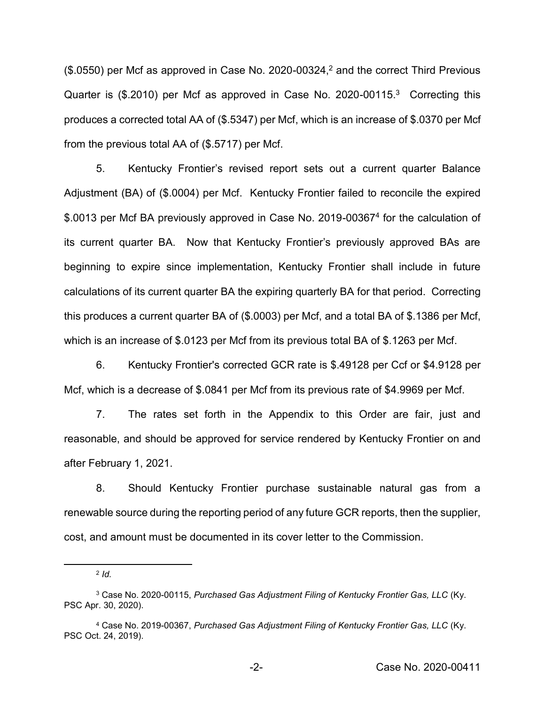$($.0550)$  per Mcf as approved in Case No. 2020-00324,<sup>2</sup> and the correct Third Previous Quarter is (\$.2010) per Mcf as approved in Case No. 2020-00115.<sup>3</sup> Correcting this produces a corrected total AA of (\$.5347) per Mcf, which is an increase of \$.0370 per Mcf from the previous total AA of (\$.5717) per Mcf.

5. Kentucky Frontier's revised report sets out a current quarter Balance Adjustment (BA) of (\$.0004) per Mcf. Kentucky Frontier failed to reconcile the expired \$.0013 per Mcf BA previously approved in Case No. 2019-003674 for the calculation of its current quarter BA. Now that Kentucky Frontier's previously approved BAs are beginning to expire since implementation, Kentucky Frontier shall include in future calculations of its current quarter BA the expiring quarterly BA for that period. Correcting this produces a current quarter BA of (\$.0003) per Mcf, and a total BA of \$.1386 per Mcf, which is an increase of \$.0123 per Mcf from its previous total BA of \$.1263 per Mcf.

6. Kentucky Frontier's corrected GCR rate is \$.49128 per Ccf or \$4.9128 per Mcf, which is a decrease of \$.0841 per Mcf from its previous rate of \$4.9969 per Mcf.

7. The rates set forth in the Appendix to this Order are fair, just and reasonable, and should be approved for service rendered by Kentucky Frontier on and after February 1, 2021.

8. Should Kentucky Frontier purchase sustainable natural gas from a renewable source during the reporting period of any future GCR reports, then the supplier, cost, and amount must be documented in its cover letter to the Commission.

 <sup>2</sup> *Id.*

<sup>3</sup> Case No. 2020-00115, *Purchased Gas Adjustment Filing of Kentucky Frontier Gas, LLC* (Ky. PSC Apr. 30, 2020).

<sup>4</sup> Case No. 2019-00367, *Purchased Gas Adjustment Filing of Kentucky Frontier Gas, LLC* (Ky. PSC Oct. 24, 2019).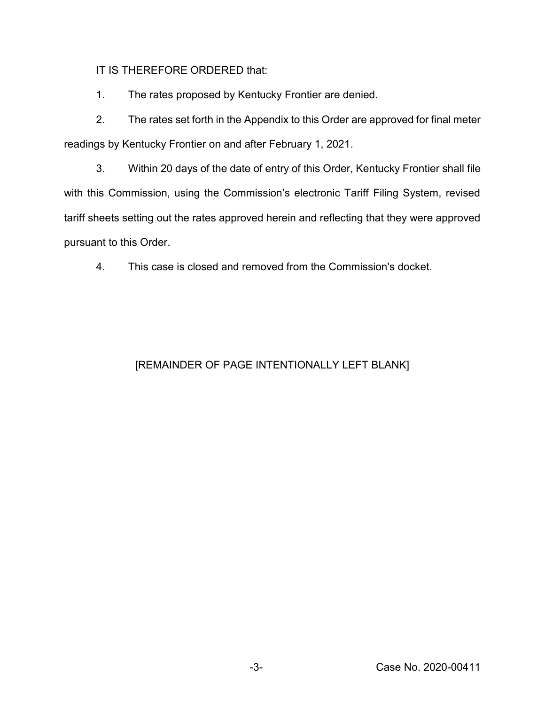IT IS THEREFORE ORDERED that:

1. The rates proposed by Kentucky Frontier are denied.

2. The rates set forth in the Appendix to this Order are approved for final meter readings by Kentucky Frontier on and after February 1, 2021.

3. Within 20 days of the date of entry of this Order, Kentucky Frontier shall file with this Commission, using the Commission's electronic Tariff Filing System, revised tariff sheets setting out the rates approved herein and reflecting that they were approved pursuant to this Order.

4. This case is closed and removed from the Commission's docket.

# [REMAINDER OF PAGE INTENTIONALLY LEFT BLANK]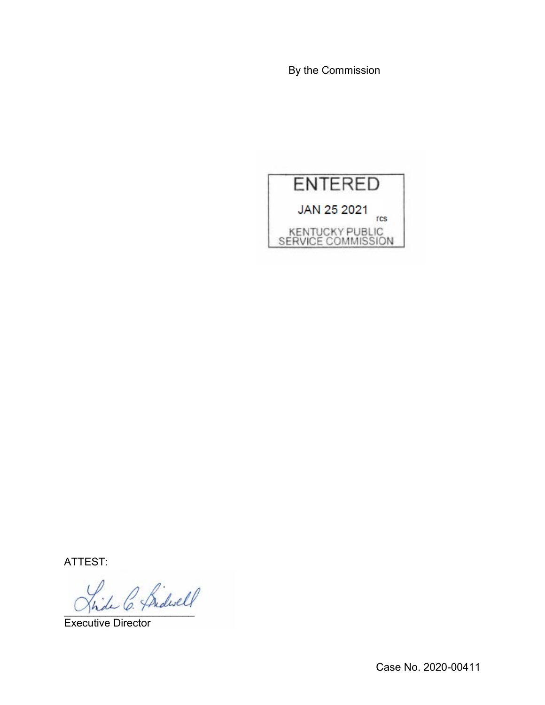By the Commission



ATTEST:

hide C. Pridwell

Executive Director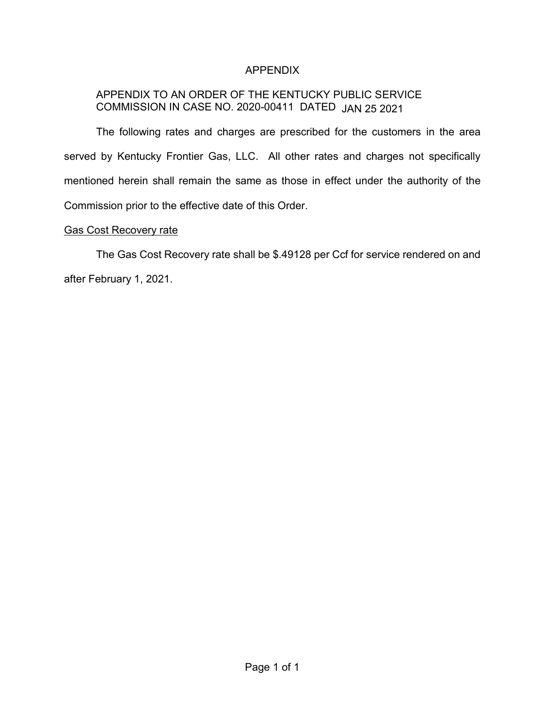### APPENDIX

## APPENDIX TO AN ORDER OF THE KENTUCKY PUBLIC SERVICE COMMISSION IN CASE NO. 2020-00411 DATED JAN 25 2021

The following rates and charges are prescribed for the customers in the area served by Kentucky Frontier Gas, LLC. All other rates and charges not specifically mentioned herein shall remain the same as those in effect under the authority of the Commission prior to the effective date of this Order.

### Gas Cost Recovery rate

The Gas Cost Recovery rate shall be \$.49128 per Ccf for service rendered on and after February 1, 2021.